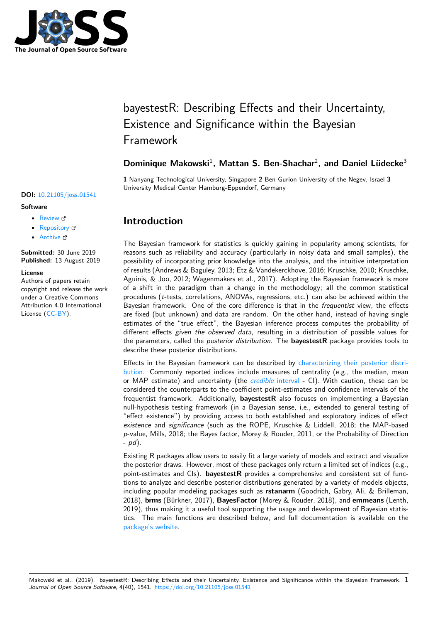

# bayestestR: Describing Effects and their Uncertainty, Existence and Significance within the Bayesian Framework

### Dominique Makowski<sup>1</sup>, Mattan S. Ben-Shachar<sup>2</sup>, and Daniel Lüdecke<sup>3</sup>

**1** Nanyang Technological University, Singapore **2** Ben-Gurion University of the Negev, Israel **3** University Medical Center Hamburg-Eppendorf, Germany

# **Introduction**

The Bayesian framework for statistics is quickly gaining in popularity among scientists, for reasons such as reliability and accuracy (particularly in noisy data and small samples), the possibility of incorporating prior knowledge into the analysis, and the intuitive interpretation of results (Andrews & Baguley, 2013; Etz & Vandekerckhove, 2016; Kruschke, 2010; Kruschke, Aguinis, & Joo, 2012; Wagenmakers et al., 2017). Adopting the Bayesian framework is more of a shift in the paradigm than a change in the methodology; all the common statistical procedures (*t*-tests, correlations, ANOVAs, regressions, etc.) can also be achieved within the Bayesian framework. One of the core difference is that in the *frequentist* view, the effects are fixed (but unknown) and data are random. On the other hand, instead of having single estimates of the "true effect", the Bayesian inference process computes the probability of different effects *given the observed data*, resulting in a distribution of possible values for the parameters, called the *posterior distribution*. The **bayestestR** package provides tools to describe these posterior distributions.

Effects in the Bayesian framework can be described by characterizing their posterior distribution. Commonly reported indices include measures of centrality (e.g., the median, mean or MAP estimate) and uncertainty (the *credible* interval - CI). With caution, these can be considered the counterparts to the coefficient point-estimates and confidence intervals of the frequentist framework. Additionally, **bayestestR** also f[ocuses on implementing a Bayesian](https://easystats.github.io/bayestestR/articles/guidelines.html) [null-hy](https://easystats.github.io/bayestestR/articles/guidelines.html)pothesis testing framework (in a Bayesian sense, i.e., extended to general testing of "effect existence") by providing access t[o both establishe](https://easystats.github.io/bayestestR/articles/credible_interval.html)d and exploratory indices of effect *existence* and *significance* (such as the ROPE, Kruschke & Liddell, 2018; the MAP-based *p*-value, Mills, 2018; the Bayes factor, Morey & Rouder, 2011, or the Probability of Direction - *pd*).

Existing R packages allow users to easily fit a large variety of models and extract and visualize the posterior draws. However, most of these packages only return a limited set of indices (e.g., point-estimates and CIs). **bayestestR** provides a comprehensive and consistent set of functions to analyze and describe posterior distributions generated by a variety of models objects, including popular modeling packages such as **rstanarm** (Goodrich, Gabry, Ali, & Brilleman, 2018), **brms** (Bürkner, 2017), **BayesFactor** (Morey & Rouder, 2018), and **emmeans** (Lenth, 2019), thus making it a useful tool supporting the usage and development of Bayesian statistics. The main functions are described below, and full documentation is available on the package's website.

Makowski et al., (2019). bayestestR: Describing Effects and their Uncertainty, Existence and Significance within the Bayesian Framework. 1 *Journal of Open Source Software*, 4(40), 1541. https://doi.org/10.21105/joss.01541

#### **DOI:** 10.21105/joss.01541

#### **Software**

- Review C
- [Repository](https://doi.org/10.21105/joss.01541) &
- Archive

**Subm[itted:](https://github.com/openjournals/joss-reviews/issues/1541)** 30 June 2019 **Published:** [13 Au](https://github.com/easystats/bayestestR)gust 2019

#### **Licen[se](https://doi.org/10.5281/zenodo.3361605)**

Authors of papers retain copyright and release the work under a Creative Commons Attribution 4.0 International License (CC-BY).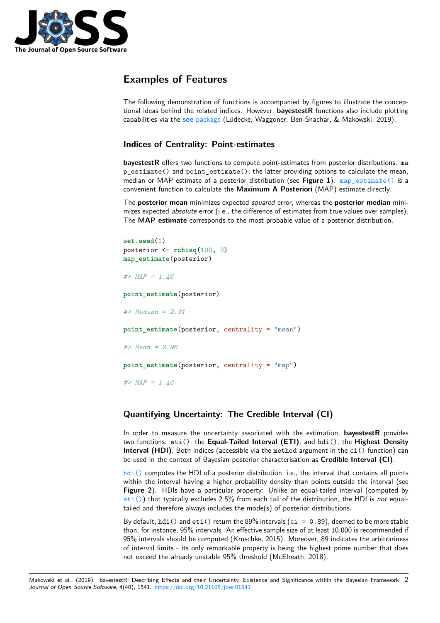

# **Examples of Features**

The following demonstration of functions is accompanied by figures to illustrate the conceptional ideas behind the related indices. However, **bayestestR** functions also include plotting capabilities via the **see** package (Lüdecke, Waggoner, Ben-Shachar, & Makowski, 2019).

### **Indices of Centrality: Point-estimates**

**bayestestR** offers [two functions](https://easystats.github.io/see/) to compute point-estimates from posterior distributions: ma p\_estimate() and point\_estimate(), the latter providing options to calculate the mean, median or MAP estimate of a posterior distribution (see **Figure 1**). map\_estimate() is a convenient function to calculate the **Maximum A Posteriori** (MAP) estimate directly.

The **posterior mean** minimizes expected *squared* error, whereas the **posterior median** minimizes expected *absolute* error (i.e., the difference of estimates from true values over samples). The **MAP estimate** corresponds to the most probable value of a pos[terior distribution.](https://easystats.github.io/bayestestR/reference/map_estimate.html)

```
set.seed(1)
posterior <- rchisq(100, 3)
map_estimate(posterior)
#> MAP = 1.46
point_estimate(posterior)
#> Median = 2.31
point_estimate(posterior, centrality = "mean")
#> Mean = 2.96
point estimate(posterior, centrality = "map")
#> MAP = 1.46
```
### **Quantifying Uncertainty: The Credible Interval (CI)**

In order to measure the uncertainty associated with the estimation, **bayestestR** provides two functions: eti(), the **Equal-Tailed Interval (ETI)**, and hdi(), the **Highest Density Interval (HDI)**. Both indices (accessible via the method argument in the ci() function) can be used in the context of Bayesian posterior characterisation as **Credible Interval (CI)**.

hdi() computes the HDI of a posterior distribution, i.e., the interval that contains all points within the interval having a higher probability density than points outside the interval (see **Figure 2**). HDIs have a particular property: Unlike an equal-tailed interval (computed by eti()) that typically excludes 2.5% from each tail of the distribution, the HDI is *not* equal[tailed a](https://easystats.github.io/bayestestR/reference/hdi.html)nd therefore always includes the mode(s) of posterior distributions.

By default, hdi() and eti() return the 89% intervals (ci =  $0.89$ ), deemed to be more stable than, for instance, 95% intervals. An effective sample size of at least 10.000 is recommended if [95% in](https://easystats.github.io/bayestestR/reference/eti.html)tervals should be computed (Kruschke, 2015). Moreover, 89 indicates the arbitrariness of interval limits - its only remarkable property is being the highest prime number that does not exceed the already unstable 95% threshold (McElreath, 2018).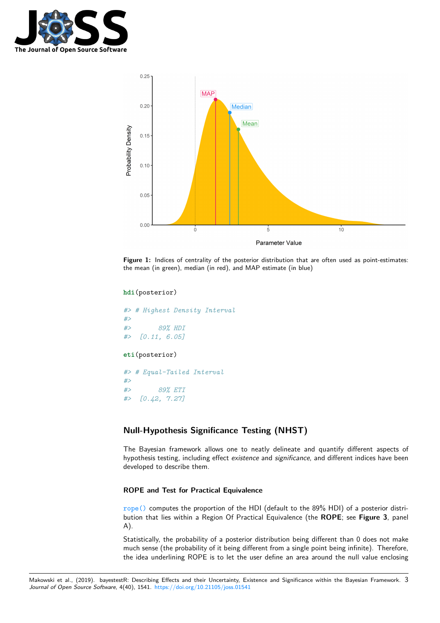



Figure 1: Indices of centrality of the posterior distribution that are often used as point-estimates: the mean (in green), median (in red), and MAP estimate (in blue)

#### **hdi**(posterior)

*#> # Highest Density Interval #> #> 89% HDI #> [0.11, 6.05]* **eti**(posterior) *#> # Equal-Tailed Interval #> #> 89% ETI #> [0.42, 7.27]*

### **Null-Hypothesis Significance Testing (NHST)**

The Bayesian framework allows one to neatly delineate and quantify different aspects of hypothesis testing, including effect *existence* and *significance*, and different indices have been developed to describe them.

### **ROPE and Test for Practical Equivalence**

rope() computes the proportion of the HDI (default to the 89% HDI) of a posterior distribution that lies within a Region Of Practical Equivalence (the **ROPE**; see **Figure 3**, panel A).

Statistically, the probability of a posterior distribution being different than 0 does not make [much se](https://easystats.github.io/bayestestR/reference/rope.html)nse (the probability of it being different from a single point being infinite). Therefore, the idea underlining ROPE is to let the user define an area around the null value enclosing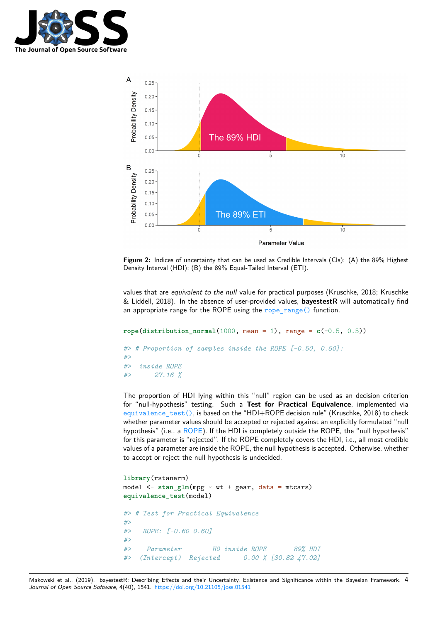



**Figure 2:** Indices of uncertainty that can be used as Credible Intervals (CIs): (A) the 89% Highest Density Interval (HDI); (B) the 89% Equal-Tailed Interval (ETI).

values that are *equivalent to the null* value for practical purposes (Kruschke, 2018; Kruschke & Liddell, 2018). In the absence of user-provided values, **bayestestR** will automatically find an appropriate range for the ROPE using the  $rope\_range()$  function.

```
rope(distribution_normal(1000, mean = 1), range = c(-0.5, 0.5))
#> # Proportion of samples inside the ROPE [-0.50, 0.50]:
#>
#> inside ROPE
#> 27.16 %
```
The proportion of HDI lying within this "null" region can be used as an decision criterion for "null-hypothesis" testing. Such a **Test for Practical Equivalence**, implemented via equivalence\_test(), is based on the "HDI+ROPE decision rule" (Kruschke, 2018) to check whether parameter values should be accepted or rejected against an explicitly formulated "null hypothesis" (i.e., a ROPE). If the HDI is completely outside the ROPE, the "null hypothesis" for this parameter is "rejected". If the ROPE completely covers the HDI, i.e., all most credible [values of a parameter ar](https://easystats.github.io/bayestestR/reference/equivalence_test.html)e inside the ROPE, the null hypothesis is accepted. Otherwise, whether to accept or reject the null hypothesis is undecided.

```
library(rstanarm)
model \leq stan_glm(mpg \sim wt + gear, data = mtcars)
equivalence_test(model)
#> # Test for Practical Equivalence
#>
#> ROPE: [-0.60 0.60]
#>
#> Parameter H0 inside ROPE 89% HDI
#> (Intercept) Rejected 0.00 % [30.82 47.02]
```
Makowski et al., (2019). bayestestR: Describing Effects and their Uncertainty, Existence and Significance within the Bayesian Framework. 4*Journal of Open Source Software*, 4(40), 1541. https://doi.org/10.21105/joss.01541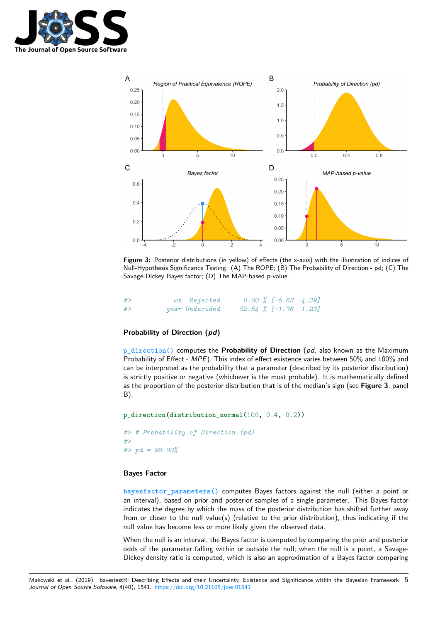



**Figure 3:** Posterior distributions (in yellow) of effects (the x-axis) with the illustration of indices of Null-Hypothesis Significance Testing: (A) The ROPE; (B) The Probability of Direction - pd; (C) The Savage-Dickey Bayes factor; (D) The MAP-based p-value.

| #> | wt Rejected    |  | $0.00 \; \text{\%}$ [-6.63 -4.39] |  |
|----|----------------|--|-----------------------------------|--|
| #> | gear Undecided |  | $52.54 \t% [-1.76 \t1.23]$        |  |

### **Probability of Direction (***pd***)**

p\_direction() computes the **Probability of Direction** (*pd*, also known as the Maximum Probability of Effect - *MPE*). This index of effect existence varies between 50% and 100% and can be interpreted as the probability that a parameter (described by its posterior distribution) is strictly positive or negative (whichever is the most probable). It is mathematically defined [as the proportion](https://easystats.github.io/bayestestR/reference/p_direction.html) of the posterior distribution that is of the median's sign (see **Figure 3**, panel B).

```
p_direction(distribution_normal(100, 0.4, 0.2))
#> # Probability of Direction (pd)
#>
#> pd = 98.00%
```
#### **Bayes Factor**

**bayesfactor\_parameters()** computes Bayes factors against the null (either a point or an interval), based on prior and posterior samples of a single parameter. This Bayes factor indicates the degree by which the mass of the posterior distribution has shifted further away from or closer to the null value(s) (relative to the prior distribution), thus indicating if the [null value has become less or m](https://easystats.github.io/bayestestR/reference/bayesfactor_parameters.html)ore likely given the observed data.

When the null is an interval, the Bayes factor is computed by comparing the prior and posterior odds of the parameter falling within or outside the null; when the null is a point, a Savage-Dickey density ratio is computed, which is also an approximation of a Bayes factor comparing

Makowski et al., (2019). bayestestR: Describing Effects and their Uncertainty, Existence and Significance within the Bayesian Framework. 5*Journal of Open Source Software*, 4(40), 1541. https://doi.org/10.21105/joss.01541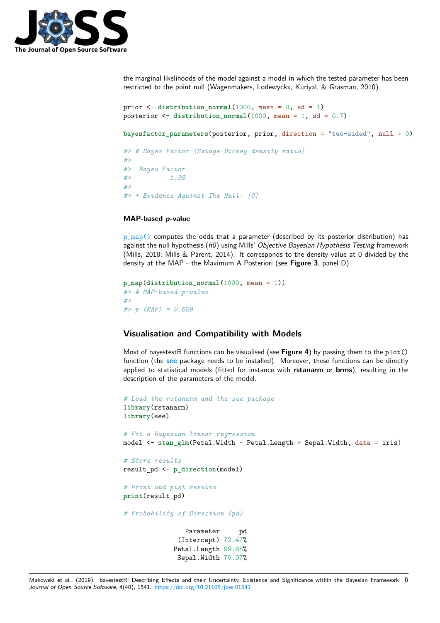

the marginal likelihoods of the model against a model in which the tested parameter has been restricted to the point null (Wagenmakers, Lodewyckx, Kuriyal, & Grasman, 2010).

```
prior <- distribution_normal(1000, mean = 0, sd = 1)
posterior <- distribution_normal(1000, mean = 1, sd = 0.7)
bayesfactor_parameters(posterior, prior, direction = "two-sided", null = 0)
#> # Bayes Factor (Savage-Dickey density ratio)
#>
#> Bayes Factor
#> 1.98
#>
#> * Evidence Against The Null: [0]
```
### **MAP-based** *p***-value**

 $p_{\text{map}}()$  computes the odds that a parameter (described by its posterior distribution) has against the null hypothesis (*h0*) using Mills' *Objective Bayesian Hypothesis Testing* framework (Mills, 2018; Mills & Parent, 2014). It corresponds to the density value at 0 divided by the density at the MAP - the Maximum A Posteriori (see **Figure 3**, panel D).

```
p_map(distribution_normal(1000, mean = 1))
#> # MAP-based p-value
#>
#> p (MAP) = 0.629
```
### **Visualisation and Compatibility with Models**

Most of bayestestR functions can be visualised (see Figure 4) by passing them to the plot() function (the **see** package needs to be installed). Moreover, these functions can be directly applied to statistical models (fitted for instance with **rstanarm** or **brms**), resulting in the description of the parameters of the model.

```
# Load the rstanarm and the see package
library(rstanarm)
library(see)
# Fit a Bayesian linear regression
model <- stan_glm(Petal.Width ~ Petal.Length * Sepal.Width, data = iris)
# Store results
result_pd <- p_direction(model)
# Print and plot results
print(result_pd)
# Probability of Direction (pd)
                Parameter pd
              (Intercept) 72.47%
             Petal.Length 99.88%
              Sepal.Width 70.97%
```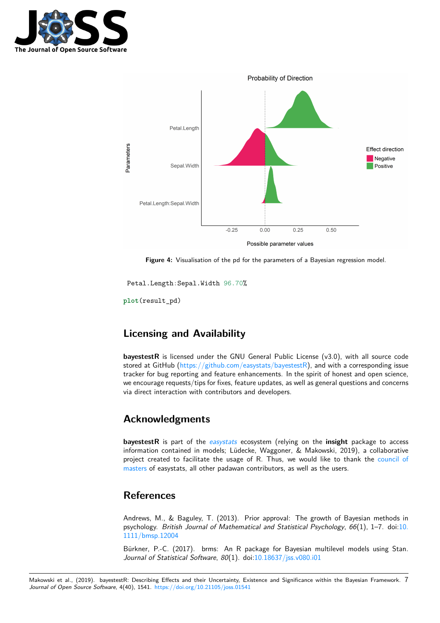



Figure 4: Visualisation of the pd for the parameters of a Bayesian regression model.

Petal.Length:Sepal.Width 96.70%

**plot**(result\_pd)

## **Licensing and Availability**

**bayestestR** is licensed under the GNU General Public License (v3.0), with all source code stored at GitHub (https://github.com/easystats/bayestestR), and with a corresponding issue tracker for bug reporting and feature enhancements. In the spirit of honest and open science, we encourage requests/tips for fixes, feature updates, as well as general questions and concerns via direct interaction with contributors and developers.

# **Acknowledgments**

**bayestestR** is part of the *easystats* ecosystem (relying on the **insight** package to access information contained in models; Lüdecke, Waggoner, & Makowski, 2019), a collaborative project created to facilitate the usage of R. Thus, we would like to thank the council of masters of easystats, all other padawan contributors, as well as the users.

### **[Refer](https://github.com/orgs/easystats/people)ences**

Andrews, M., & Baguley, T. (2013). Prior approval: The growth of Bayesian methods in psychology. *British Journal of Mathematical and Statistical Psychology*, *66*(1), 1–7. doi:10. 1111/bmsp.12004

Bürkner, P.-C. (2017). brms: An R package for Bayesian multilevel models using Stan. *Journal of Statistical Software*, *80*(1). doi:10.18637/jss.v080.i01

Makowski et al., (2019). bayestest[R: Describing Effects](https://doi.org/10.1111/bmsp.12004) and their Uncertainty, Existence and Significance within the Bayesian Framework. 7 *Journal of Open Source Software*, 4(40), 1541. https://doi.org/10.21105/joss.01541